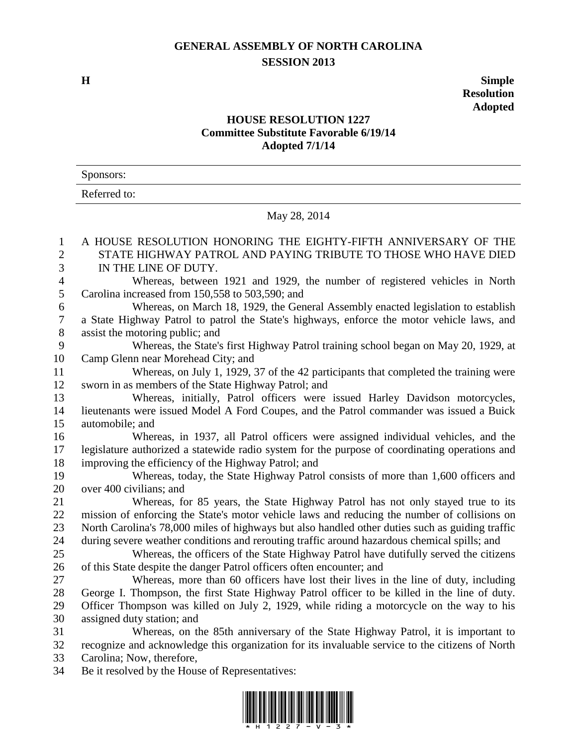## **GENERAL ASSEMBLY OF NORTH CAROLINA SESSION 2013**

**H Simple Resolution Adopted**

## **HOUSE RESOLUTION 1227 Committee Substitute Favorable 6/19/14 Adopted 7/1/14**

| Sponsors:    |  |
|--------------|--|
| Referred to: |  |

## May 28, 2014

| $\mathbf{1}$     | A HOUSE RESOLUTION HONORING THE EIGHTY-FIFTH ANNIVERSARY OF THE                                 |
|------------------|-------------------------------------------------------------------------------------------------|
| $\overline{c}$   | STATE HIGHWAY PATROL AND PAYING TRIBUTE TO THOSE WHO HAVE DIED                                  |
| 3                | IN THE LINE OF DUTY.                                                                            |
| $\overline{4}$   | Whereas, between 1921 and 1929, the number of registered vehicles in North                      |
| 5                | Carolina increased from 150,558 to 503,590; and                                                 |
| 6                | Whereas, on March 18, 1929, the General Assembly enacted legislation to establish               |
| $\boldsymbol{7}$ | a State Highway Patrol to patrol the State's highways, enforce the motor vehicle laws, and      |
| $8\,$            | assist the motoring public; and                                                                 |
| 9                | Whereas, the State's first Highway Patrol training school began on May 20, 1929, at             |
| 10               | Camp Glenn near Morehead City; and                                                              |
| 11               | Whereas, on July 1, 1929, 37 of the 42 participants that completed the training were            |
| 12               | sworn in as members of the State Highway Patrol; and                                            |
| 13               | Whereas, initially, Patrol officers were issued Harley Davidson motorcycles,                    |
| 14               | lieutenants were issued Model A Ford Coupes, and the Patrol commander was issued a Buick        |
| 15               | automobile; and                                                                                 |
| 16               | Whereas, in 1937, all Patrol officers were assigned individual vehicles, and the                |
| 17               | legislature authorized a statewide radio system for the purpose of coordinating operations and  |
| 18               | improving the efficiency of the Highway Patrol; and                                             |
| 19               | Whereas, today, the State Highway Patrol consists of more than 1,600 officers and               |
| 20               | over 400 civilians; and                                                                         |
| 21               | Whereas, for 85 years, the State Highway Patrol has not only stayed true to its                 |
| $22\,$           | mission of enforcing the State's motor vehicle laws and reducing the number of collisions on    |
| $23\,$           | North Carolina's 78,000 miles of highways but also handled other duties such as guiding traffic |
| 24               | during severe weather conditions and rerouting traffic around hazardous chemical spills; and    |
| 25               | Whereas, the officers of the State Highway Patrol have dutifully served the citizens            |
| 26               | of this State despite the danger Patrol officers often encounter; and                           |
| 27               | Whereas, more than 60 officers have lost their lives in the line of duty, including             |
| 28               | George I. Thompson, the first State Highway Patrol officer to be killed in the line of duty.    |
| 29               | Officer Thompson was killed on July 2, 1929, while riding a motorcycle on the way to his        |
| 30               | assigned duty station; and                                                                      |
| 31               | Whereas, on the 85th anniversary of the State Highway Patrol, it is important to                |
| 32               | recognize and acknowledge this organization for its invaluable service to the citizens of North |
| 33               | Carolina; Now, therefore,                                                                       |
| 34               | Be it resolved by the House of Representatives:                                                 |